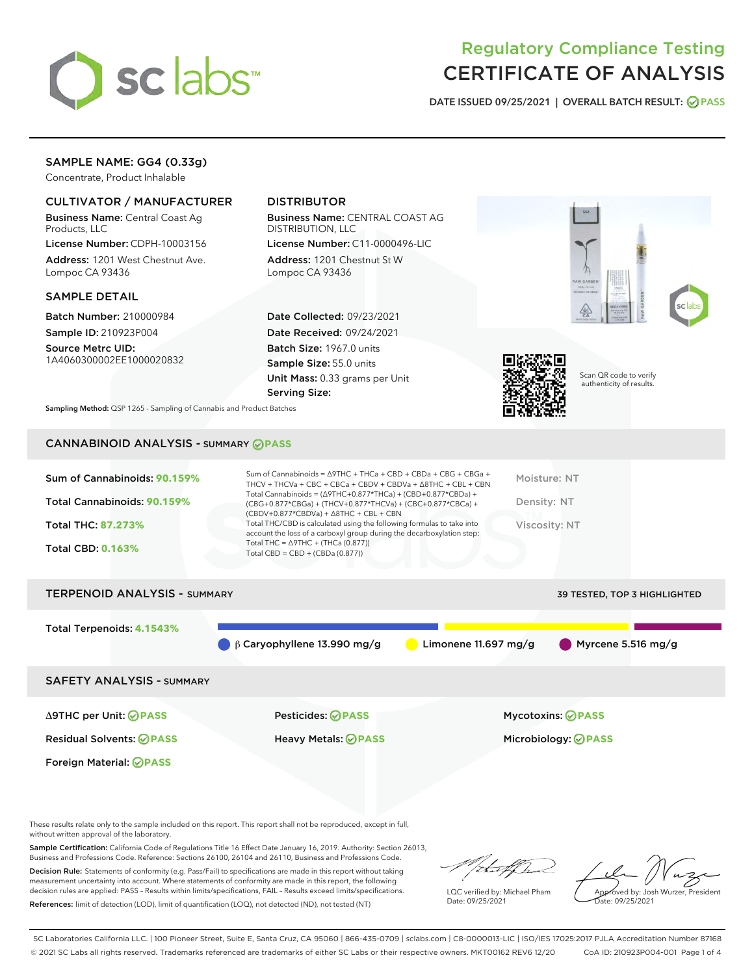

## Regulatory Compliance Testing CERTIFICATE OF ANALYSIS

DATE ISSUED 09/25/2021 | OVERALL BATCH RESULT: @ PASS

## SAMPLE NAME: GG4 (0.33g)

Concentrate, Product Inhalable

## CULTIVATOR / MANUFACTURER

Business Name: Central Coast Ag Products, LLC

License Number: CDPH-10003156 Address: 1201 West Chestnut Ave. Lompoc CA 93436

#### SAMPLE DETAIL

Batch Number: 210000984 Sample ID: 210923P004

Source Metrc UID: 1A4060300002EE1000020832

## DISTRIBUTOR

Business Name: CENTRAL COAST AG DISTRIBUTION, LLC

License Number: C11-0000496-LIC Address: 1201 Chestnut St W Lompoc CA 93436

Date Collected: 09/23/2021 Date Received: 09/24/2021 Batch Size: 1967.0 units Sample Size: 55.0 units Unit Mass: 0.33 grams per Unit Serving Size:





Scan QR code to verify authenticity of results.

Sampling Method: QSP 1265 - Sampling of Cannabis and Product Batches

## CANNABINOID ANALYSIS - SUMMARY **PASS**

| Sum of Cannabinoids: 90.159%<br>Total Cannabinoids: 90.159% | Sum of Cannabinoids = $\triangle$ 9THC + THCa + CBD + CBDa + CBG + CBGa +<br>THCV + THCVa + CBC + CBCa + CBDV + CBDVa + $\Delta$ 8THC + CBL + CBN<br>Total Cannabinoids = $(\Delta$ 9THC+0.877*THCa) + (CBD+0.877*CBDa) +<br>(CBG+0.877*CBGa) + (THCV+0.877*THCVa) + (CBC+0.877*CBCa) + | Moisture: NT<br>Density: NT |
|-------------------------------------------------------------|-----------------------------------------------------------------------------------------------------------------------------------------------------------------------------------------------------------------------------------------------------------------------------------------|-----------------------------|
| <b>Total THC: 87.273%</b>                                   | $(CBDV+0.877*CBDVa) + \Delta 8THC + CBL + CBN$<br>Total THC/CBD is calculated using the following formulas to take into<br>account the loss of a carboxyl group during the decarboxylation step:                                                                                        | Viscosity: NT               |
| <b>Total CBD: 0.163%</b>                                    | Total THC = $\triangle$ 9THC + (THCa (0.877))<br>Total CBD = $CBD + (CBDa (0.877))$                                                                                                                                                                                                     |                             |

# TERPENOID ANALYSIS - SUMMARY 39 TESTED, TOP 3 HIGHLIGHTED Total Terpenoids: **4.1543%** β Caryophyllene 13.990 mg/g Limonene 11.697 mg/g Myrcene 5.516 mg/g SAFETY ANALYSIS - SUMMARY Δ9THC per Unit: **PASS** Pesticides: **PASS** Mycotoxins: **PASS**

Foreign Material: **PASS**

Residual Solvents: **PASS** Heavy Metals: **PASS** Microbiology: **PASS**

These results relate only to the sample included on this report. This report shall not be reproduced, except in full, without written approval of the laboratory.

Sample Certification: California Code of Regulations Title 16 Effect Date January 16, 2019. Authority: Section 26013, Business and Professions Code. Reference: Sections 26100, 26104 and 26110, Business and Professions Code.

Decision Rule: Statements of conformity (e.g. Pass/Fail) to specifications are made in this report without taking measurement uncertainty into account. Where statements of conformity are made in this report, the following decision rules are applied: PASS – Results within limits/specifications, FAIL – Results exceed limits/specifications. References: limit of detection (LOD), limit of quantification (LOQ), not detected (ND), not tested (NT)

LQC verified by: Michael Pham Date: 09/25/2021

Approved by: Josh Wurzer, President ate: 09/25/2021

SC Laboratories California LLC. | 100 Pioneer Street, Suite E, Santa Cruz, CA 95060 | 866-435-0709 | sclabs.com | C8-0000013-LIC | ISO/IES 17025:2017 PJLA Accreditation Number 87168 © 2021 SC Labs all rights reserved. Trademarks referenced are trademarks of either SC Labs or their respective owners. MKT00162 REV6 12/20 CoA ID: 210923P004-001 Page 1 of 4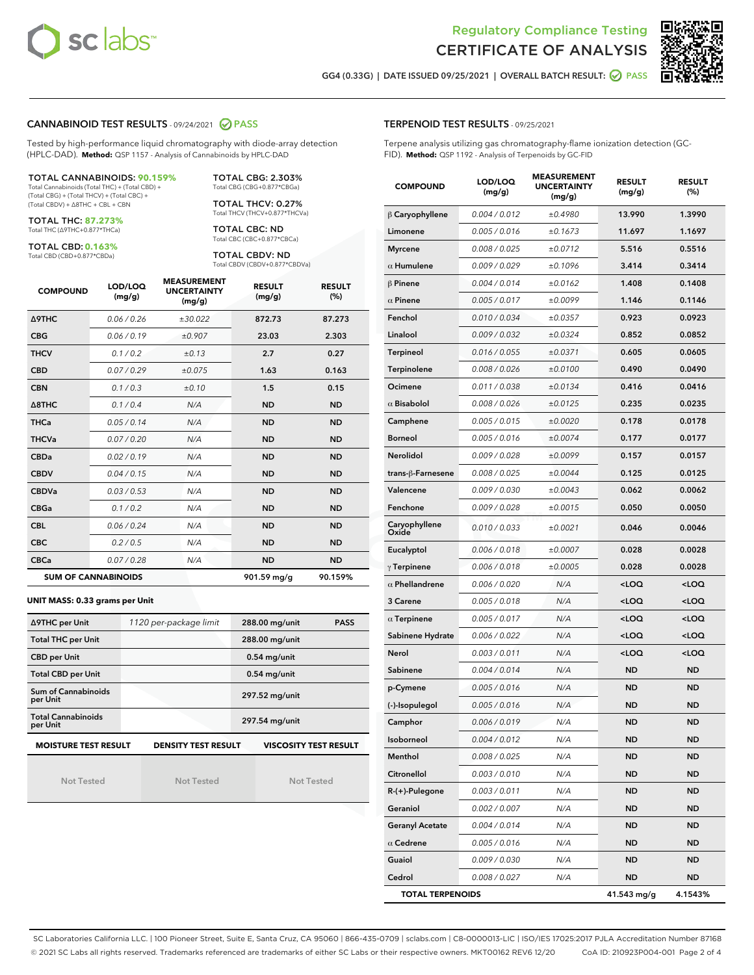



GG4 (0.33G) | DATE ISSUED 09/25/2021 | OVERALL BATCH RESULT: 2 PASS

#### CANNABINOID TEST RESULTS - 09/24/2021 2 PASS

Tested by high-performance liquid chromatography with diode-array detection (HPLC-DAD). **Method:** QSP 1157 - Analysis of Cannabinoids by HPLC-DAD

TOTAL CANNABINOIDS: **90.159%** Total Cannabinoids (Total THC) + (Total CBD) +

(Total CBG) + (Total THCV) + (Total CBC) + (Total CBDV) + ∆8THC + CBL + CBN

TOTAL THC: **87.273%** Total THC (∆9THC+0.877\*THCa)

TOTAL CBD: **0.163%**

Total CBD (CBD+0.877\*CBDa)

TOTAL CBG: 2.303% Total CBG (CBG+0.877\*CBGa)

TOTAL THCV: 0.27% Total THCV (THCV+0.877\*THCVa)

TOTAL CBC: ND Total CBC (CBC+0.877\*CBCa)

TOTAL CBDV: ND Total CBDV (CBDV+0.877\*CBDVa)

| <b>COMPOUND</b>  | LOD/LOQ<br>(mg/g)          | <b>MEASUREMENT</b><br><b>UNCERTAINTY</b><br>(mg/g) | <b>RESULT</b><br>(mg/g) | <b>RESULT</b><br>(%) |
|------------------|----------------------------|----------------------------------------------------|-------------------------|----------------------|
| Δ9THC            | 0.06/0.26                  | ±30.022                                            | 872.73                  | 87.273               |
| <b>CBG</b>       | 0.06/0.19                  | ±0.907                                             | 23.03                   | 2.303                |
| <b>THCV</b>      | 0.1 / 0.2                  | ±0.13                                              | 2.7                     | 0.27                 |
| <b>CBD</b>       | 0.07/0.29                  | ±0.075                                             | 1.63                    | 0.163                |
| <b>CBN</b>       | 0.1/0.3                    | ±0.10                                              | 1.5                     | 0.15                 |
| $\triangle$ 8THC | 0.1/0.4                    | N/A                                                | <b>ND</b>               | <b>ND</b>            |
| <b>THCa</b>      | 0.05/0.14                  | N/A                                                | <b>ND</b>               | <b>ND</b>            |
| <b>THCVa</b>     | 0.07/0.20                  | N/A                                                | <b>ND</b>               | <b>ND</b>            |
| <b>CBDa</b>      | 0.02/0.19                  | N/A                                                | <b>ND</b>               | <b>ND</b>            |
| <b>CBDV</b>      | 0.04 / 0.15                | N/A                                                | <b>ND</b>               | <b>ND</b>            |
| <b>CBDVa</b>     | 0.03/0.53                  | N/A                                                | <b>ND</b>               | <b>ND</b>            |
| <b>CBGa</b>      | 0.1/0.2                    | N/A                                                | <b>ND</b>               | <b>ND</b>            |
| <b>CBL</b>       | 0.06 / 0.24                | N/A                                                | <b>ND</b>               | <b>ND</b>            |
| <b>CBC</b>       | 0.2 / 0.5                  | N/A                                                | <b>ND</b>               | <b>ND</b>            |
| <b>CBCa</b>      | 0.07/0.28                  | N/A                                                | <b>ND</b>               | <b>ND</b>            |
|                  | <b>SUM OF CANNABINOIDS</b> |                                                    | 901.59 mg/g             | 90.159%              |

#### **UNIT MASS: 0.33 grams per Unit**

| ∆9THC per Unit                        | 1120 per-package limit     | 288.00 mg/unit<br><b>PASS</b> |
|---------------------------------------|----------------------------|-------------------------------|
| <b>Total THC per Unit</b>             |                            | 288.00 mg/unit                |
| <b>CBD per Unit</b>                   |                            | $0.54$ mg/unit                |
| <b>Total CBD per Unit</b>             |                            | $0.54$ mg/unit                |
| Sum of Cannabinoids<br>per Unit       |                            | 297.52 mg/unit                |
| <b>Total Cannabinoids</b><br>per Unit |                            | 297.54 mg/unit                |
| <b>MOISTURE TEST RESULT</b>           | <b>DENSITY TEST RESULT</b> | <b>VISCOSITY TEST RESULT</b>  |

Not Tested

Not Tested

Not Tested

TERPENOID TEST RESULTS - 09/25/2021

Terpene analysis utilizing gas chromatography-flame ionization detection (GC-FID). **Method:** QSP 1192 - Analysis of Terpenoids by GC-FID

| <b>COMPOUND</b>         | LOD/LOQ<br>(mg/g) | <b>MEASUREMENT</b><br><b>UNCERTAINTY</b><br>(mq/q) | <b>RESULT</b><br>(mg/g)                         | <b>RESULT</b><br>$(\%)$ |
|-------------------------|-------------------|----------------------------------------------------|-------------------------------------------------|-------------------------|
| $\beta$ Caryophyllene   | 0.004 / 0.012     | ±0.4980                                            | 13.990                                          | 1.3990                  |
| Limonene                | 0.005 / 0.016     | ±0.1673                                            | 11.697                                          | 1.1697                  |
| <b>Myrcene</b>          | 0.008 / 0.025     | ±0.0712                                            | 5.516                                           | 0.5516                  |
| $\alpha$ Humulene       | 0.009/0.029       | ±0.1096                                            | 3.414                                           | 0.3414                  |
| $\beta$ Pinene          | 0.004 / 0.014     | ±0.0162                                            | 1.408                                           | 0.1408                  |
| $\alpha$ Pinene         | 0.005 / 0.017     | ±0.0099                                            | 1.146                                           | 0.1146                  |
| Fenchol                 | 0.010 / 0.034     | ±0.0357                                            | 0.923                                           | 0.0923                  |
| Linalool                | 0.009 / 0.032     | ±0.0324                                            | 0.852                                           | 0.0852                  |
| <b>Terpineol</b>        | 0.016 / 0.055     | ±0.0371                                            | 0.605                                           | 0.0605                  |
| Terpinolene             | 0.008 / 0.026     | ±0.0100                                            | 0.490                                           | 0.0490                  |
| Ocimene                 | 0.011 / 0.038     | ±0.0134                                            | 0.416                                           | 0.0416                  |
| $\alpha$ Bisabolol      | 0.008 / 0.026     | ±0.0125                                            | 0.235                                           | 0.0235                  |
| Camphene                | 0.005 / 0.015     | ±0.0020                                            | 0.178                                           | 0.0178                  |
| <b>Borneol</b>          | 0.005 / 0.016     | ±0.0074                                            | 0.177                                           | 0.0177                  |
| <b>Nerolidol</b>        | 0.009 / 0.028     | ±0.0099                                            | 0.157                                           | 0.0157                  |
| trans-ß-Farnesene       | 0.008 / 0.025     | ±0.0044                                            | 0.125                                           | 0.0125                  |
| Valencene               | 0.009 / 0.030     | ±0.0043                                            | 0.062                                           | 0.0062                  |
| Fenchone                | 0.009 / 0.028     | ±0.0015                                            | 0.050                                           | 0.0050                  |
| Caryophyllene<br>Oxide  | 0.010 / 0.033     | ±0.0021                                            | 0.046                                           | 0.0046                  |
| Eucalyptol              | 0.006 / 0.018     | ±0.0007                                            | 0.028                                           | 0.0028                  |
| $\gamma$ Terpinene      | 0.006 / 0.018     | ±0.0005                                            | 0.028                                           | 0.0028                  |
| $\alpha$ Phellandrene   | 0.006 / 0.020     | N/A                                                | <loq< th=""><th><loq< th=""></loq<></th></loq<> | <loq< th=""></loq<>     |
| 3 Carene                | 0.005 / 0.018     | N/A                                                | <loq< th=""><th><loq< th=""></loq<></th></loq<> | <loq< th=""></loq<>     |
| $\alpha$ Terpinene      | 0.005 / 0.017     | N/A                                                | <loq< th=""><th><loq< th=""></loq<></th></loq<> | <loq< th=""></loq<>     |
| Sabinene Hydrate        | 0.006 / 0.022     | N/A                                                | <loq< th=""><th><loq< th=""></loq<></th></loq<> | <loq< th=""></loq<>     |
| Nerol                   | 0.003 / 0.011     | N/A                                                | <loq< th=""><th><loq< th=""></loq<></th></loq<> | <loq< th=""></loq<>     |
| Sabinene                | 0.004 / 0.014     | N/A                                                | <b>ND</b>                                       | <b>ND</b>               |
| p-Cymene                | 0.005 / 0.016     | N/A                                                | <b>ND</b>                                       | <b>ND</b>               |
| (-)-Isopulegol          | 0.005 / 0.016     | N/A                                                | <b>ND</b>                                       | ND                      |
| Camphor                 | 0.006 / 0.019     | N/A                                                | <b>ND</b>                                       | ND                      |
| Isoborneol              | 0.004 / 0.012     | N/A                                                | ND                                              | ND                      |
| Menthol                 | 0.008 / 0.025     | N/A                                                | <b>ND</b>                                       | ND                      |
| Citronellol             | 0.003 / 0.010     | N/A                                                | <b>ND</b>                                       | <b>ND</b>               |
| R-(+)-Pulegone          | 0.003 / 0.011     | N/A                                                | <b>ND</b>                                       | ND                      |
| Geraniol                | 0.002 / 0.007     | N/A                                                | ND                                              | ND                      |
| <b>Geranyl Acetate</b>  | 0.004 / 0.014     | N/A                                                | ND                                              | ND                      |
| $\alpha$ Cedrene        | 0.005 / 0.016     | N/A                                                | ND                                              | ND                      |
| Guaiol                  | 0.009 / 0.030     | N/A                                                | <b>ND</b>                                       | ND                      |
| Cedrol                  | 0.008 / 0.027     | N/A                                                | ND                                              | ND                      |
| <b>TOTAL TERPENOIDS</b> |                   |                                                    | 41.543 mg/g                                     | 4.1543%                 |

SC Laboratories California LLC. | 100 Pioneer Street, Suite E, Santa Cruz, CA 95060 | 866-435-0709 | sclabs.com | C8-0000013-LIC | ISO/IES 17025:2017 PJLA Accreditation Number 87168 © 2021 SC Labs all rights reserved. Trademarks referenced are trademarks of either SC Labs or their respective owners. MKT00162 REV6 12/20 CoA ID: 210923P004-001 Page 2 of 4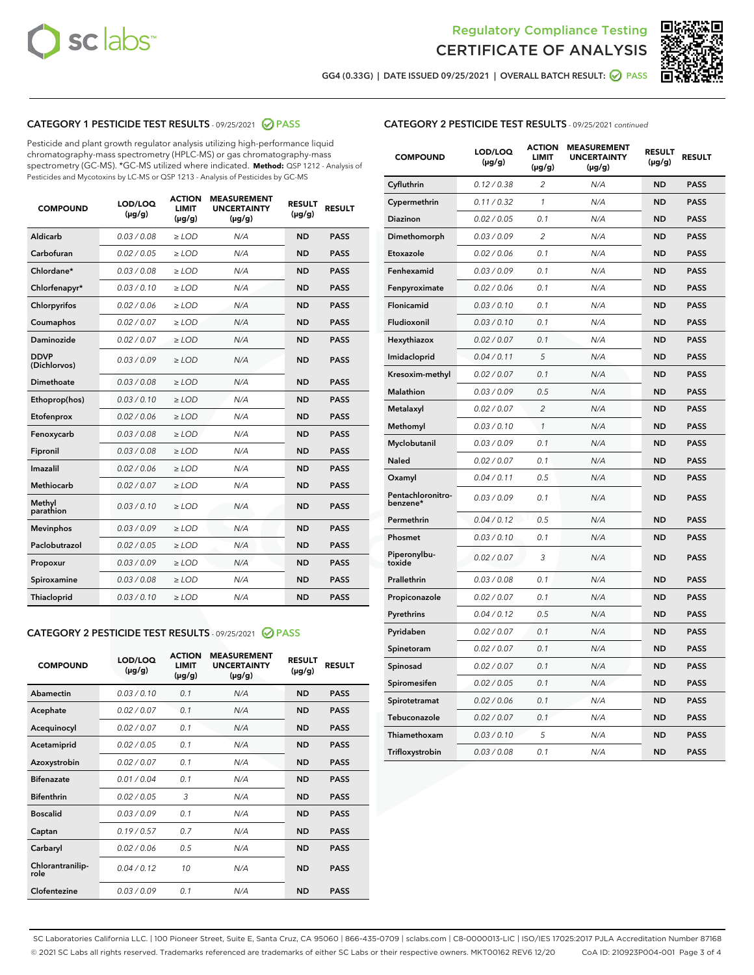



GG4 (0.33G) | DATE ISSUED 09/25/2021 | OVERALL BATCH RESULT: ◯ PASS

## CATEGORY 1 PESTICIDE TEST RESULTS - 09/25/2021 2 PASS

Pesticide and plant growth regulator analysis utilizing high-performance liquid chromatography-mass spectrometry (HPLC-MS) or gas chromatography-mass spectrometry (GC-MS). \*GC-MS utilized where indicated. **Method:** QSP 1212 - Analysis of Pesticides and Mycotoxins by LC-MS or QSP 1213 - Analysis of Pesticides by GC-MS

| <b>COMPOUND</b>             | LOD/LOQ<br>$(\mu g/g)$ | <b>ACTION</b><br><b>LIMIT</b><br>$(\mu g/g)$ | <b>MEASUREMENT</b><br><b>UNCERTAINTY</b><br>$(\mu g/g)$ | <b>RESULT</b><br>$(\mu g/g)$ | <b>RESULT</b> |
|-----------------------------|------------------------|----------------------------------------------|---------------------------------------------------------|------------------------------|---------------|
| Aldicarb                    | 0.03 / 0.08            | $\ge$ LOD                                    | N/A                                                     | <b>ND</b>                    | <b>PASS</b>   |
| Carbofuran                  | 0.02 / 0.05            | $>$ LOD                                      | N/A                                                     | <b>ND</b>                    | <b>PASS</b>   |
| Chlordane*                  | 0.03 / 0.08            | $\geq$ LOD                                   | N/A                                                     | <b>ND</b>                    | <b>PASS</b>   |
| Chlorfenapyr*               | 0.03/0.10              | $\geq$ LOD                                   | N/A                                                     | <b>ND</b>                    | <b>PASS</b>   |
| Chlorpyrifos                | 0.02 / 0.06            | $>$ LOD                                      | N/A                                                     | <b>ND</b>                    | <b>PASS</b>   |
| Coumaphos                   | 0.02 / 0.07            | $\ge$ LOD                                    | N/A                                                     | <b>ND</b>                    | <b>PASS</b>   |
| Daminozide                  | 0.02 / 0.07            | $\ge$ LOD                                    | N/A                                                     | <b>ND</b>                    | <b>PASS</b>   |
| <b>DDVP</b><br>(Dichlorvos) | 0.03/0.09              | $\ge$ LOD                                    | N/A                                                     | <b>ND</b>                    | <b>PASS</b>   |
| Dimethoate                  | 0.03 / 0.08            | $>$ LOD                                      | N/A                                                     | <b>ND</b>                    | <b>PASS</b>   |
| Ethoprop(hos)               | 0.03/0.10              | $\ge$ LOD                                    | N/A                                                     | <b>ND</b>                    | <b>PASS</b>   |
| Etofenprox                  | 0.02/0.06              | $>$ LOD                                      | N/A                                                     | <b>ND</b>                    | <b>PASS</b>   |
| Fenoxycarb                  | 0.03 / 0.08            | $\ge$ LOD                                    | N/A                                                     | <b>ND</b>                    | <b>PASS</b>   |
| Fipronil                    | 0.03/0.08              | $\ge$ LOD                                    | N/A                                                     | <b>ND</b>                    | <b>PASS</b>   |
| Imazalil                    | 0.02 / 0.06            | $\ge$ LOD                                    | N/A                                                     | <b>ND</b>                    | <b>PASS</b>   |
| Methiocarb                  | 0.02 / 0.07            | $\ge$ LOD                                    | N/A                                                     | <b>ND</b>                    | <b>PASS</b>   |
| Methyl<br>parathion         | 0.03/0.10              | $>$ LOD                                      | N/A                                                     | <b>ND</b>                    | <b>PASS</b>   |
| <b>Mevinphos</b>            | 0.03 / 0.09            | $>$ LOD                                      | N/A                                                     | <b>ND</b>                    | <b>PASS</b>   |
| Paclobutrazol               | 0.02 / 0.05            | $\ge$ LOD                                    | N/A                                                     | <b>ND</b>                    | <b>PASS</b>   |
| Propoxur                    | 0.03/0.09              | $\ge$ LOD                                    | N/A                                                     | <b>ND</b>                    | <b>PASS</b>   |
| Spiroxamine                 | 0.03 / 0.08            | $\ge$ LOD                                    | N/A                                                     | <b>ND</b>                    | <b>PASS</b>   |
| Thiacloprid                 | 0.03/0.10              | $\ge$ LOD                                    | N/A                                                     | <b>ND</b>                    | <b>PASS</b>   |

#### CATEGORY 2 PESTICIDE TEST RESULTS - 09/25/2021 @ PASS

| <b>COMPOUND</b>          | LOD/LOO<br>$(\mu g/g)$ | <b>ACTION</b><br>LIMIT<br>$(\mu g/g)$ | <b>MEASUREMENT</b><br><b>UNCERTAINTY</b><br>$(\mu g/g)$ | <b>RESULT</b><br>$(\mu g/g)$ | <b>RESULT</b> |  |
|--------------------------|------------------------|---------------------------------------|---------------------------------------------------------|------------------------------|---------------|--|
| Abamectin                | 0.03/0.10              | 0.1                                   | N/A                                                     | <b>ND</b>                    | <b>PASS</b>   |  |
| Acephate                 | 0.02/0.07              | 0.1                                   | N/A                                                     | <b>ND</b>                    | <b>PASS</b>   |  |
| Acequinocyl              | 0.02/0.07              | 0.1                                   | N/A                                                     | <b>ND</b>                    | <b>PASS</b>   |  |
| Acetamiprid              | 0.02/0.05              | 0.1                                   | N/A                                                     | <b>ND</b>                    | <b>PASS</b>   |  |
| Azoxystrobin             | 0.02/0.07              | 0.1                                   | N/A                                                     | <b>ND</b>                    | <b>PASS</b>   |  |
| <b>Bifenazate</b>        | 0.01 / 0.04            | 0.1                                   | N/A                                                     | <b>ND</b>                    | <b>PASS</b>   |  |
| <b>Bifenthrin</b>        | 0.02 / 0.05            | 3                                     | N/A                                                     | <b>ND</b>                    | <b>PASS</b>   |  |
| <b>Boscalid</b>          | 0.03/0.09              | 0.1                                   | N/A                                                     | <b>ND</b>                    | <b>PASS</b>   |  |
| Captan                   | 0.19/0.57              | 07                                    | N/A                                                     | <b>ND</b>                    | <b>PASS</b>   |  |
| Carbaryl                 | 0.02/0.06              | 0.5                                   | N/A                                                     | <b>ND</b>                    | <b>PASS</b>   |  |
| Chlorantranilip-<br>role | 0.04/0.12              | 10                                    | N/A                                                     | <b>ND</b>                    | <b>PASS</b>   |  |
| Clofentezine             | 0 03 / 0 09            | 0 <sub>1</sub>                        | N/A                                                     | <b>ND</b>                    | <b>PASS</b>   |  |

## CATEGORY 2 PESTICIDE TEST RESULTS - 09/25/2021 continued

| <b>COMPOUND</b>               | LOD/LOQ<br>(µg/g) | <b>ACTION</b><br>LIMIT<br>$(\mu g/g)$ | <b>MEASUREMENT</b><br><b>UNCERTAINTY</b><br>(µg/g) | <b>RESULT</b><br>(µg/g) | <b>RESULT</b> |
|-------------------------------|-------------------|---------------------------------------|----------------------------------------------------|-------------------------|---------------|
| Cyfluthrin                    | 0.12 / 0.38       | 2                                     | N/A                                                | ND                      | <b>PASS</b>   |
| Cypermethrin                  | 0.11 / 0.32       | 1                                     | N/A                                                | ND                      | <b>PASS</b>   |
| Diazinon                      | 0.02 / 0.05       | 0.1                                   | N/A                                                | ND                      | <b>PASS</b>   |
| Dimethomorph                  | 0.03 / 0.09       | $\overline{2}$                        | N/A                                                | <b>ND</b>               | <b>PASS</b>   |
| Etoxazole                     | 0.02 / 0.06       | 0.1                                   | N/A                                                | ND                      | <b>PASS</b>   |
| Fenhexamid                    | 0.03 / 0.09       | 0.1                                   | N/A                                                | ND                      | <b>PASS</b>   |
| Fenpyroximate                 | 0.02 / 0.06       | 0.1                                   | N/A                                                | <b>ND</b>               | <b>PASS</b>   |
| Flonicamid                    | 0.03 / 0.10       | 0.1                                   | N/A                                                | <b>ND</b>               | <b>PASS</b>   |
| Fludioxonil                   | 0.03 / 0.10       | 0.1                                   | N/A                                                | <b>ND</b>               | <b>PASS</b>   |
| Hexythiazox                   | 0.02 / 0.07       | 0.1                                   | N/A                                                | <b>ND</b>               | <b>PASS</b>   |
| Imidacloprid                  | 0.04 / 0.11       | 5                                     | N/A                                                | <b>ND</b>               | <b>PASS</b>   |
| Kresoxim-methyl               | 0.02 / 0.07       | 0.1                                   | N/A                                                | ND                      | <b>PASS</b>   |
| Malathion                     | 0.03 / 0.09       | 0.5                                   | N/A                                                | <b>ND</b>               | <b>PASS</b>   |
| Metalaxyl                     | 0.02 / 0.07       | $\overline{c}$                        | N/A                                                | <b>ND</b>               | <b>PASS</b>   |
| Methomyl                      | 0.03 / 0.10       | 1                                     | N/A                                                | ND                      | <b>PASS</b>   |
| Myclobutanil                  | 0.03/0.09         | 0.1                                   | N/A                                                | <b>ND</b>               | <b>PASS</b>   |
| Naled                         | 0.02 / 0.07       | 0.1                                   | N/A                                                | ND                      | <b>PASS</b>   |
| Oxamyl                        | 0.04 / 0.11       | 0.5                                   | N/A                                                | ND                      | <b>PASS</b>   |
| Pentachloronitro-<br>benzene* | 0.03 / 0.09       | 0.1                                   | N/A                                                | ND                      | <b>PASS</b>   |
| Permethrin                    | 0.04/0.12         | 0.5                                   | N/A                                                | <b>ND</b>               | <b>PASS</b>   |
| Phosmet                       | 0.03 / 0.10       | 0.1                                   | N/A                                                | ND                      | <b>PASS</b>   |
| Piperonylbu-<br>toxide        | 0.02 / 0.07       | 3                                     | N/A                                                | <b>ND</b>               | <b>PASS</b>   |
| Prallethrin                   | 0.03 / 0.08       | 0.1                                   | N/A                                                | <b>ND</b>               | <b>PASS</b>   |
| Propiconazole                 | 0.02 / 0.07       | 0.1                                   | N/A                                                | ND                      | <b>PASS</b>   |
| Pyrethrins                    | 0.04 / 0.12       | 0.5                                   | N/A                                                | ND                      | <b>PASS</b>   |
| Pyridaben                     | 0.02 / 0.07       | 0.1                                   | N/A                                                | <b>ND</b>               | <b>PASS</b>   |
| Spinetoram                    | 0.02 / 0.07       | 0.1                                   | N/A                                                | ND                      | <b>PASS</b>   |
| Spinosad                      | 0.02 / 0.07       | 0.1                                   | N/A                                                | ND                      | <b>PASS</b>   |
| Spiromesifen                  | 0.02 / 0.05       | 0.1                                   | N/A                                                | <b>ND</b>               | <b>PASS</b>   |
| Spirotetramat                 | 0.02 / 0.06       | 0.1                                   | N/A                                                | ND                      | <b>PASS</b>   |
| Tebuconazole                  | 0.02 / 0.07       | 0.1                                   | N/A                                                | ND                      | <b>PASS</b>   |
| Thiamethoxam                  | 0.03 / 0.10       | 5                                     | N/A                                                | <b>ND</b>               | <b>PASS</b>   |
| Trifloxystrobin               | 0.03 / 0.08       | 0.1                                   | N/A                                                | <b>ND</b>               | <b>PASS</b>   |

SC Laboratories California LLC. | 100 Pioneer Street, Suite E, Santa Cruz, CA 95060 | 866-435-0709 | sclabs.com | C8-0000013-LIC | ISO/IES 17025:2017 PJLA Accreditation Number 87168 © 2021 SC Labs all rights reserved. Trademarks referenced are trademarks of either SC Labs or their respective owners. MKT00162 REV6 12/20 CoA ID: 210923P004-001 Page 3 of 4